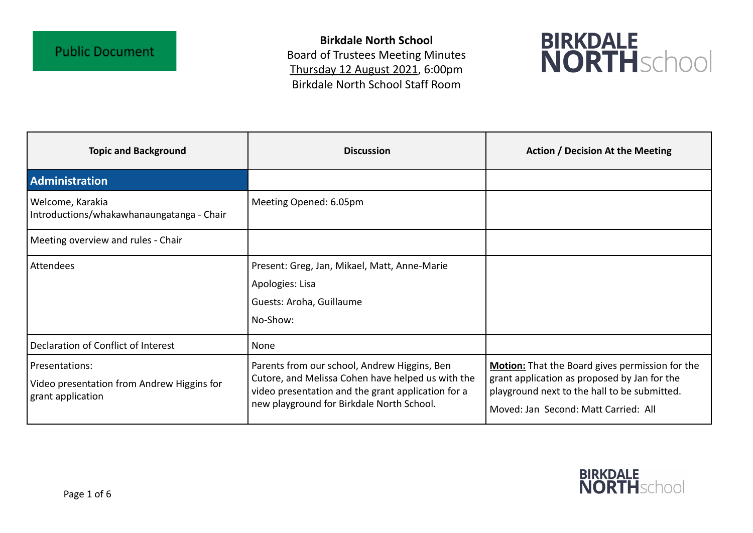**Birkdale North School** Board of Trustees Meeting Minutes Thursday 12 August 2021, 6:00pm Birkdale North School Staff Room



| <b>Topic and Background</b>                                                       | <b>Discussion</b>                                                                                                                                                                                    | <b>Action / Decision At the Meeting</b>                                                                                                                                                 |
|-----------------------------------------------------------------------------------|------------------------------------------------------------------------------------------------------------------------------------------------------------------------------------------------------|-----------------------------------------------------------------------------------------------------------------------------------------------------------------------------------------|
| <b>Administration</b>                                                             |                                                                                                                                                                                                      |                                                                                                                                                                                         |
| Welcome, Karakia<br>Introductions/whakawhanaungatanga - Chair                     | Meeting Opened: 6.05pm                                                                                                                                                                               |                                                                                                                                                                                         |
| Meeting overview and rules - Chair                                                |                                                                                                                                                                                                      |                                                                                                                                                                                         |
| <b>Attendees</b>                                                                  | Present: Greg, Jan, Mikael, Matt, Anne-Marie<br>Apologies: Lisa<br>Guests: Aroha, Guillaume<br>No-Show:                                                                                              |                                                                                                                                                                                         |
| Declaration of Conflict of Interest                                               | None                                                                                                                                                                                                 |                                                                                                                                                                                         |
| Presentations:<br>Video presentation from Andrew Higgins for<br>grant application | Parents from our school, Andrew Higgins, Ben<br>Cutore, and Melissa Cohen have helped us with the<br>video presentation and the grant application for a<br>new playground for Birkdale North School. | Motion: That the Board gives permission for the<br>grant application as proposed by Jan for the<br>playground next to the hall to be submitted.<br>Moved: Jan Second: Matt Carried: All |

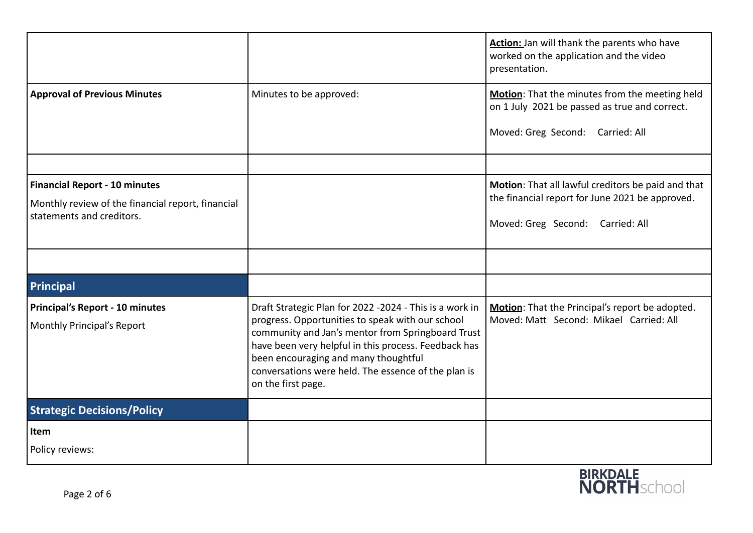|                                                                                                                        |                                                                                                                                                                                                                                                                                                                                               | Action: Jan will thank the parents who have<br>worked on the application and the video<br>presentation.                                   |
|------------------------------------------------------------------------------------------------------------------------|-----------------------------------------------------------------------------------------------------------------------------------------------------------------------------------------------------------------------------------------------------------------------------------------------------------------------------------------------|-------------------------------------------------------------------------------------------------------------------------------------------|
| <b>Approval of Previous Minutes</b>                                                                                    | Minutes to be approved:                                                                                                                                                                                                                                                                                                                       | Motion: That the minutes from the meeting held<br>on 1 July 2021 be passed as true and correct.<br>Moved: Greg Second: Carried: All       |
|                                                                                                                        |                                                                                                                                                                                                                                                                                                                                               |                                                                                                                                           |
| <b>Financial Report - 10 minutes</b><br>Monthly review of the financial report, financial<br>statements and creditors. |                                                                                                                                                                                                                                                                                                                                               | Motion: That all lawful creditors be paid and that<br>the financial report for June 2021 be approved.<br>Moved: Greg Second: Carried: All |
|                                                                                                                        |                                                                                                                                                                                                                                                                                                                                               |                                                                                                                                           |
| Principal                                                                                                              |                                                                                                                                                                                                                                                                                                                                               |                                                                                                                                           |
| Principal's Report - 10 minutes<br>Monthly Principal's Report                                                          | Draft Strategic Plan for 2022 -2024 - This is a work in<br>progress. Opportunities to speak with our school<br>community and Jan's mentor from Springboard Trust<br>have been very helpful in this process. Feedback has<br>been encouraging and many thoughtful<br>conversations were held. The essence of the plan is<br>on the first page. | Motion: That the Principal's report be adopted.<br>Moved: Matt Second: Mikael Carried: All                                                |
| <b>Strategic Decisions/Policy</b>                                                                                      |                                                                                                                                                                                                                                                                                                                                               |                                                                                                                                           |
| Item<br>Policy reviews:                                                                                                |                                                                                                                                                                                                                                                                                                                                               |                                                                                                                                           |

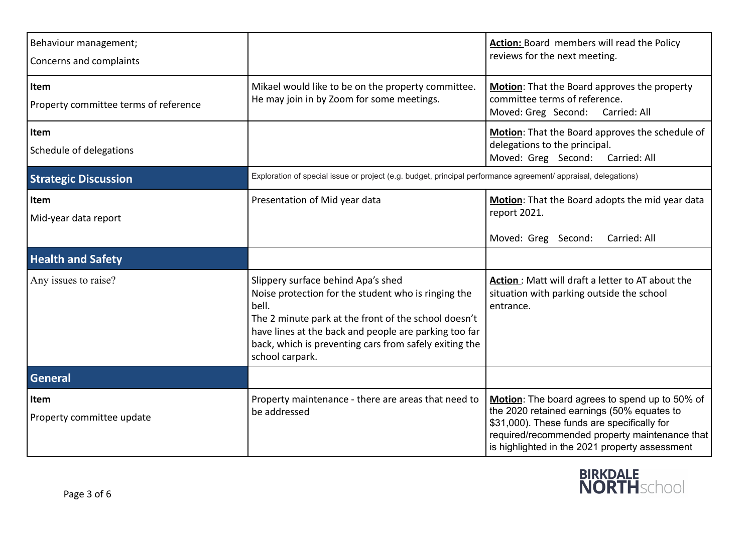| Behaviour management;<br>Concerns and complaints |                                                                                                                                                                                                                                                                                                  | Action: Board members will read the Policy<br>reviews for the next meeting.                                                                                                                                                                     |
|--------------------------------------------------|--------------------------------------------------------------------------------------------------------------------------------------------------------------------------------------------------------------------------------------------------------------------------------------------------|-------------------------------------------------------------------------------------------------------------------------------------------------------------------------------------------------------------------------------------------------|
| Item<br>Property committee terms of reference    | Mikael would like to be on the property committee.<br>He may join in by Zoom for some meetings.                                                                                                                                                                                                  | Motion: That the Board approves the property<br>committee terms of reference.<br>Moved: Greg Second:<br>Carried: All                                                                                                                            |
| Item<br>Schedule of delegations                  |                                                                                                                                                                                                                                                                                                  | Motion: That the Board approves the schedule of<br>delegations to the principal.<br>Moved: Greg Second:<br>Carried: All                                                                                                                         |
| <b>Strategic Discussion</b>                      | Exploration of special issue or project (e.g. budget, principal performance agreement/ appraisal, delegations)                                                                                                                                                                                   |                                                                                                                                                                                                                                                 |
| Item<br>Mid-year data report                     | Presentation of Mid year data                                                                                                                                                                                                                                                                    | Motion: That the Board adopts the mid year data<br>report 2021.<br>Moved: Greg Second:<br>Carried: All                                                                                                                                          |
| <b>Health and Safety</b>                         |                                                                                                                                                                                                                                                                                                  |                                                                                                                                                                                                                                                 |
| Any issues to raise?                             | Slippery surface behind Apa's shed<br>Noise protection for the student who is ringing the<br>bell.<br>The 2 minute park at the front of the school doesn't<br>have lines at the back and people are parking too far<br>back, which is preventing cars from safely exiting the<br>school carpark. | Action: Matt will draft a letter to AT about the<br>situation with parking outside the school<br>entrance.                                                                                                                                      |
| <b>General</b>                                   |                                                                                                                                                                                                                                                                                                  |                                                                                                                                                                                                                                                 |
| Item<br>Property committee update                | Property maintenance - there are areas that need to<br>be addressed                                                                                                                                                                                                                              | Motion: The board agrees to spend up to 50% of<br>the 2020 retained earnings (50% equates to<br>\$31,000). These funds are specifically for<br>required/recommended property maintenance that<br>is highlighted in the 2021 property assessment |

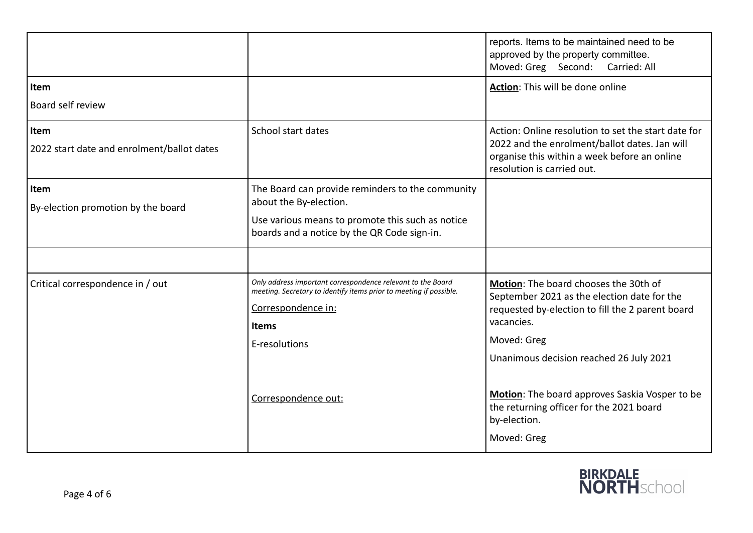|                                                    |                                                                                                                                                                                                                 | reports. Items to be maintained need to be<br>approved by the property committee.<br>Moved: Greg Second: Carried: All                                                                                                                                                                                          |
|----------------------------------------------------|-----------------------------------------------------------------------------------------------------------------------------------------------------------------------------------------------------------------|----------------------------------------------------------------------------------------------------------------------------------------------------------------------------------------------------------------------------------------------------------------------------------------------------------------|
| Item<br>Board self review                          |                                                                                                                                                                                                                 | Action: This will be done online                                                                                                                                                                                                                                                                               |
| Item<br>2022 start date and enrolment/ballot dates | School start dates                                                                                                                                                                                              | Action: Online resolution to set the start date for<br>2022 and the enrolment/ballot dates. Jan will<br>organise this within a week before an online<br>resolution is carried out.                                                                                                                             |
| Item<br>By-election promotion by the board         | The Board can provide reminders to the community<br>about the By-election.<br>Use various means to promote this such as notice<br>boards and a notice by the QR Code sign-in.                                   |                                                                                                                                                                                                                                                                                                                |
| Critical correspondence in / out                   | Only address important correspondence relevant to the Board<br>meeting. Secretary to identify items prior to meeting if possible.<br>Correspondence in:<br><b>Items</b><br>E-resolutions<br>Correspondence out: | Motion: The board chooses the 30th of<br>September 2021 as the election date for the<br>requested by-election to fill the 2 parent board<br>vacancies.<br>Moved: Greg<br>Unanimous decision reached 26 July 2021<br>Motion: The board approves Saskia Vosper to be<br>the returning officer for the 2021 board |
|                                                    |                                                                                                                                                                                                                 | by-election.<br>Moved: Greg                                                                                                                                                                                                                                                                                    |

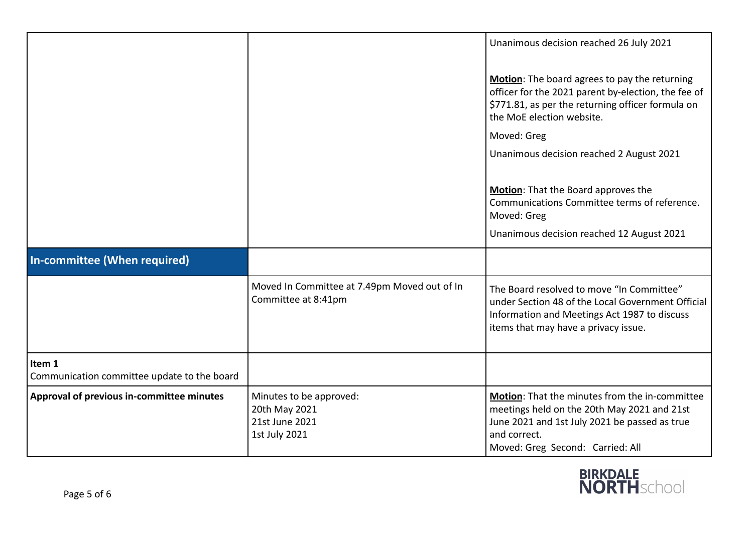|                                                       |                                                                             | Unanimous decision reached 26 July 2021<br>Motion: The board agrees to pay the returning<br>officer for the 2021 parent by-election, the fee of<br>\$771.81, as per the returning officer formula on<br>the MoE election website.<br>Moved: Greg<br>Unanimous decision reached 2 August 2021 |
|-------------------------------------------------------|-----------------------------------------------------------------------------|----------------------------------------------------------------------------------------------------------------------------------------------------------------------------------------------------------------------------------------------------------------------------------------------|
|                                                       |                                                                             | Motion: That the Board approves the<br>Communications Committee terms of reference.<br>Moved: Greg<br>Unanimous decision reached 12 August 2021                                                                                                                                              |
| In-committee (When required)                          |                                                                             |                                                                                                                                                                                                                                                                                              |
|                                                       | Moved In Committee at 7.49pm Moved out of In<br>Committee at 8:41pm         | The Board resolved to move "In Committee"<br>under Section 48 of the Local Government Official<br>Information and Meetings Act 1987 to discuss<br>items that may have a privacy issue.                                                                                                       |
| Item 1<br>Communication committee update to the board |                                                                             |                                                                                                                                                                                                                                                                                              |
| Approval of previous in-committee minutes             | Minutes to be approved:<br>20th May 2021<br>21st June 2021<br>1st July 2021 | Motion: That the minutes from the in-committee<br>meetings held on the 20th May 2021 and 21st<br>June 2021 and 1st July 2021 be passed as true<br>and correct.<br>Moved: Greg Second: Carried: All                                                                                           |